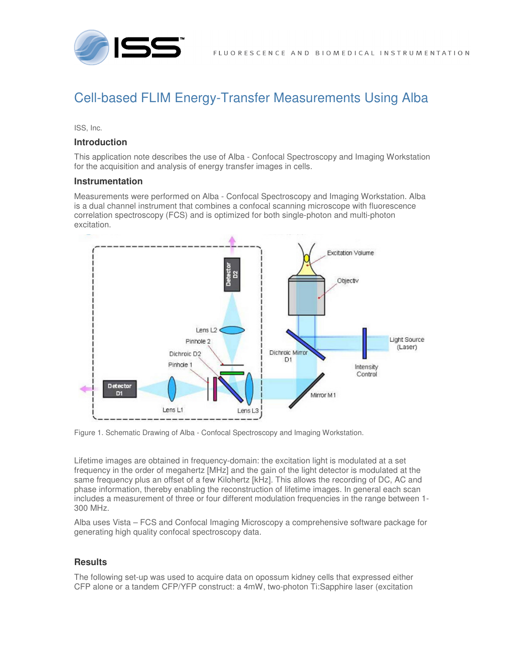



# Cell-based FLIM Energy-Transfer Measurements Using Alba

ISS, Inc.

#### **Introduction**

This application note describes the use of Alba - Confocal Spectroscopy and Imaging Workstation for the acquisition and analysis of energy transfer images in cells.

#### **Instrumentation**

Measurements were performed on Alba - Confocal Spectroscopy and Imaging Workstation. Alba is a dual channel instrument that combines a confocal scanning microscope with fluorescence correlation spectroscopy (FCS) and is optimized for both single-photon and multi-photon excitation.



Figure 1. Schematic Drawing of Alba - Confocal Spectroscopy and Imaging Workstation.

Lifetime images are obtained in frequency-domain: the excitation light is modulated at a set frequency in the order of megahertz [MHz] and the gain of the light detector is modulated at the same frequency plus an offset of a few Kilohertz [kHz]. This allows the recording of DC, AC and phase information, thereby enabling the reconstruction of lifetime images. In general each scan includes a measurement of three or four different modulation frequencies in the range between 1- 300 MHz.

Alba uses Vista – FCS and Confocal Imaging Microscopy a comprehensive software package for generating high quality confocal spectroscopy data.

## **Results**

The following set-up was used to acquire data on opossum kidney cells that expressed either CFP alone or a tandem CFP/YFP construct: a 4mW, two-photon Ti:Sapphire laser (excitation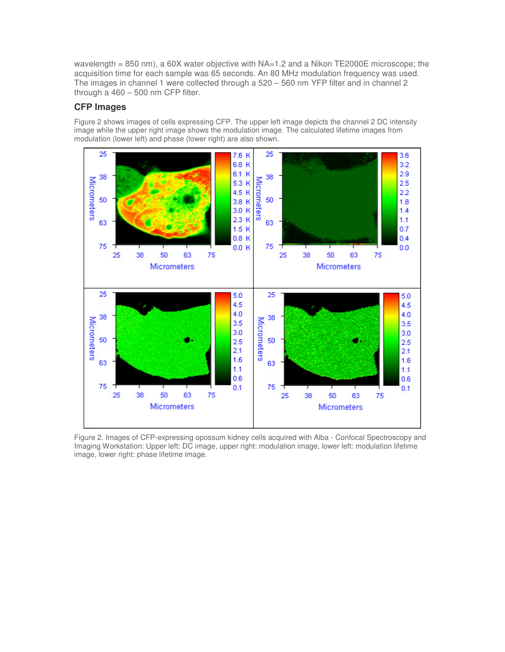wavelength = 850 nm), a 60X water objective with NA=1.2 and a Nikon TE2000E microscope; the acquisition time for each sample was 65 seconds. An 80 MHz modulation frequency was used. The images in channel 1 were collected through a 520 – 560 nm YFP filter and in channel 2 through a 460 – 500 nm CFP filter.

## **CFP Images**

Figure 2 shows images of cells expressing CFP. The upper left image depicts the channel 2 DC intensity image while the upper right image shows the modulation image. The calculated lifetime images from modulation (lower left) and phase (lower right) are also shown.



Figure 2. Images of CFP-expressing opossum kidney cells acquired with Alba - Confocal Spectroscopy and Imaging Workstation: Upper left: DC image, upper right: modulation image, lower left: modulation lifetime image, lower right: phase lifetime image.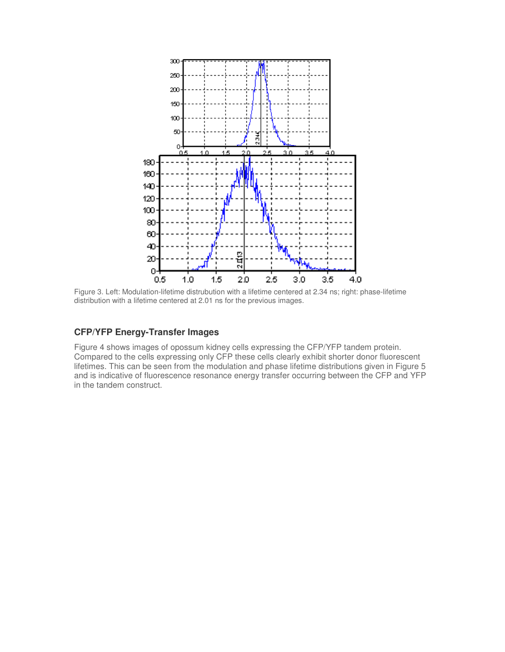

Figure 3. Left: Modulation-lifetime distrubution with a lifetime centered at 2.34 ns; right: phase-lifetime distribution with a lifetime centered at 2.01 ns for the previous images.

## **CFP/YFP Energy-Transfer Images**

Figure 4 shows images of opossum kidney cells expressing the CFP/YFP tandem protein. Compared to the cells expressing only CFP these cells clearly exhibit shorter donor fluorescent lifetimes. This can be seen from the modulation and phase lifetime distributions given in Figure 5 and is indicative of fluorescence resonance energy transfer occurring between the CFP and YFP in the tandem construct.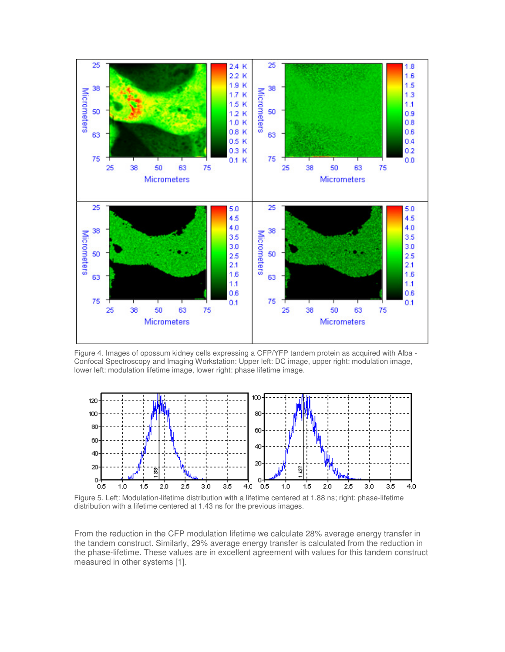

Figure 4. Images of opossum kidney cells expressing a CFP/YFP tandem protein as acquired with Alba - Confocal Spectroscopy and Imaging Workstation: Upper left: DC image, upper right: modulation image, lower left: modulation lifetime image, lower right: phase lifetime image.



Figure 5. Left: Modulation-lifetime distribution with a lifetime centered at 1.88 ns; right: phase-lifetime distribution with a lifetime centered at 1.43 ns for the previous images.

From the reduction in the CFP modulation lifetime we calculate 28% average energy transfer in the tandem construct. Similarly, 29% average energy transfer is calculated from the reduction in the phase-lifetime. These values are in excellent agreement with values for this tandem construct measured in other systems [1].